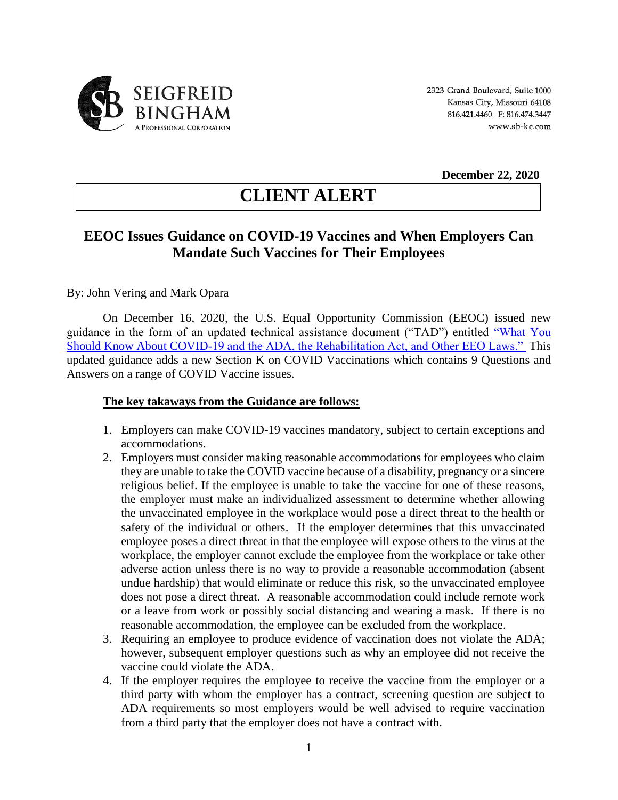

**December 22, 2020**

# **CLIENT ALERT**

# **EEOC Issues Guidance on COVID-19 Vaccines and When Employers Can Mandate Such Vaccines for Their Employees**

## By: John Vering and Mark Opara

On December 16, 2020, the U.S. Equal Opportunity Commission (EEOC) issued new guidance in the form of an updated technical assistance document ("TAD") entitled ["What You](https://lnks.gd/l/eyJhbGciOiJIUzI1NiJ9.eyJidWxsZXRpbl9saW5rX2lkIjoxMDEsInVyaSI6ImJwMjpjbGljayIsImJ1bGxldGluX2lkIjoiMjAyMDA5MDguMjY3NTU2NzEiLCJ1cmwiOiJodHRwczovL3d3dy5lZW9jLmdvdi93eXNrL3doYXQteW91LXNob3VsZC1rbm93LWFib3V0LWNvdmlkLTE5LWFuZC1hZGEtcmVoYWJpbGl0YXRpb24tYWN0LWFuZC1vdGhlci1lZW8tbGF3cz91dG1fY29udGVudD0mdXRtX21lZGl1bT1lbWFpbCZ1dG1fbmFtZT0mdXRtX3NvdXJjZT1nb3ZkZWxpdmVyeSZ1dG1fdGVybT0ifQ.RyGN6xrf3EDL-WkDuBda2N2ojc5dh4KM_zLaPX3VuwI/s/727346881/br/83337365604-l)  [Should Know About COVID-19 and the ADA, the Rehabilitation Act, and Other EEO Laws."](https://lnks.gd/l/eyJhbGciOiJIUzI1NiJ9.eyJidWxsZXRpbl9saW5rX2lkIjoxMDEsInVyaSI6ImJwMjpjbGljayIsImJ1bGxldGluX2lkIjoiMjAyMDA5MDguMjY3NTU2NzEiLCJ1cmwiOiJodHRwczovL3d3dy5lZW9jLmdvdi93eXNrL3doYXQteW91LXNob3VsZC1rbm93LWFib3V0LWNvdmlkLTE5LWFuZC1hZGEtcmVoYWJpbGl0YXRpb24tYWN0LWFuZC1vdGhlci1lZW8tbGF3cz91dG1fY29udGVudD0mdXRtX21lZGl1bT1lbWFpbCZ1dG1fbmFtZT0mdXRtX3NvdXJjZT1nb3ZkZWxpdmVyeSZ1dG1fdGVybT0ifQ.RyGN6xrf3EDL-WkDuBda2N2ojc5dh4KM_zLaPX3VuwI/s/727346881/br/83337365604-l) This updated guidance adds a new Section K on COVID Vaccinations which contains 9 Questions and Answers on a range of COVID Vaccine issues.

### **The key takaways from the Guidance are follows:**

- 1. Employers can make COVID-19 vaccines mandatory, subject to certain exceptions and accommodations.
- 2. Employers must consider making reasonable accommodations for employees who claim they are unable to take the COVID vaccine because of a disability, pregnancy or a sincere religious belief. If the employee is unable to take the vaccine for one of these reasons, the employer must make an individualized assessment to determine whether allowing the unvaccinated employee in the workplace would pose a direct threat to the health or safety of the individual or others. If the employer determines that this unvaccinated employee poses a direct threat in that the employee will expose others to the virus at the workplace, the employer cannot exclude the employee from the workplace or take other adverse action unless there is no way to provide a reasonable accommodation (absent undue hardship) that would eliminate or reduce this risk, so the unvaccinated employee does not pose a direct threat. A reasonable accommodation could include remote work or a leave from work or possibly social distancing and wearing a mask. If there is no reasonable accommodation, the employee can be excluded from the workplace.
- 3. Requiring an employee to produce evidence of vaccination does not violate the ADA; however, subsequent employer questions such as why an employee did not receive the vaccine could violate the ADA.
- 4. If the employer requires the employee to receive the vaccine from the employer or a third party with whom the employer has a contract, screening question are subject to ADA requirements so most employers would be well advised to require vaccination from a third party that the employer does not have a contract with.